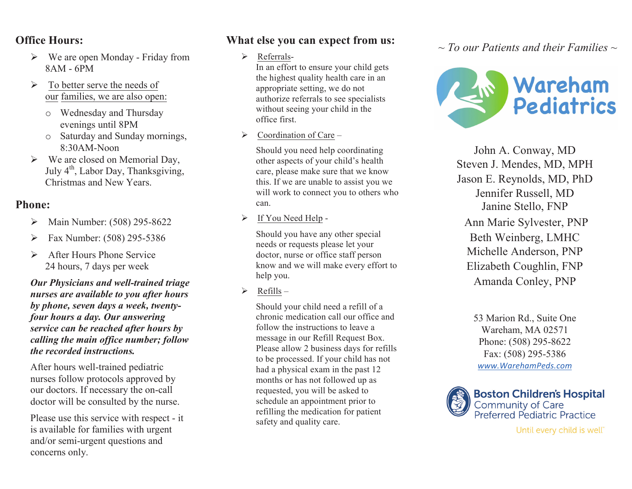### **Office Hours:**

- $\triangleright$  We are open Monday Friday from 8AM - 6PM
- $\triangleright$  To better serve the needs of our families, we are also open:
	- o Wednesday and Thursday evenings until 8PM
	- o Saturday and Sunday mornings, 8:30AM-Noon
- $\triangleright$  We are closed on Memorial Day, July  $4<sup>th</sup>$ , Labor Day, Thanksgiving, Christmas and New Years.

### **Phone:**

- Main Number: (508) 295-8622
- $\triangleright$  Fax Number: (508) 295-5386
- After Hours Phone Service 24 hours, 7 days per week

*Our Physicians and well-trained triage nurses are available to you after hours by phone, seven days a week, twentyfour hours a day. Our answering service can be reached after hours by calling the main office number; follow the recorded instructions.*

After hours well-trained pediatric nurses follow protocols approved by our doctors. If necessary the on-call doctor will be consulted by the nurse.

Please use this service with respect - it is available for families with urgent and/or semi-urgent questions and concerns only.

## **What else you can expect from us:**

> Referrals-

In an effort to ensure your child gets the highest quality health care in an appropriate setting, we do not authorize referrals to see specialists without seeing your child in the office first.

 $\triangleright$  Coordination of Care –

Should you need help coordinating other aspects of your child's health care, please make sure that we know this. If we are unable to assist you we will work to connect you to others who can.

 $\triangleright$  If You Need Help -

Should you have any other special needs or requests please let your doctor, nurse or office staff person know and we will make every effort to help you.

 $\triangleright$  Refills –

Should your child need a refill of a chronic medication call our office and follow the instructions to leave a message in our Refill Request Box. Please allow 2 business days for refills to be processed. If your child has not had a physical exam in the past 12 months or has not followed up as requested, you will be asked to schedule an appointment prior to refilling the medication for patient safety and quality care.

*~ To our Patients and their Families ~*



John A. Conway, MD Steven J. Mendes, MD, MPH Jason E. Reynolds, MD, PhD Jennifer Russell, MD Janine Stello, FNP Ann Marie Sylvester, PNP Beth Weinberg, LMHC Michelle Anderson, PNP Elizabeth Coughlin, FNP Amanda Conley, PNP

> 53 Marion Rd., Suite One Wareham, MA 02571 Phone: (508) 295-8622 Fax: (508) 295-5386 *www.WarehamPeds.com*



Until every child is well"